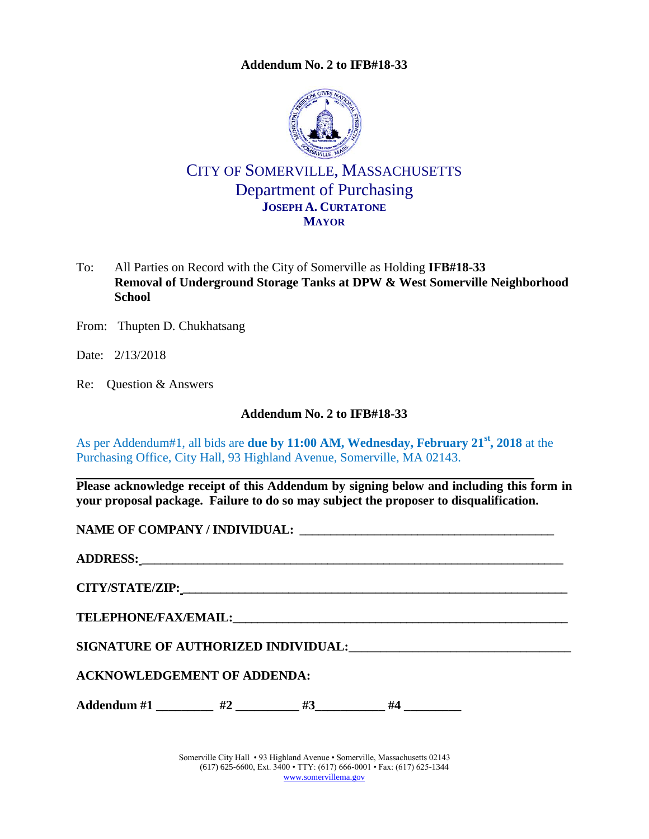**Addendum No. 2 to IFB#18-33**

<span id="page-0-0"></span>

# CITY OF SOMERVILLE, MASSACHUSETTS Department of Purchasing **JOSEPH A. CURTATONE MAYOR**

- To: All Parties on Record with the City of Somerville as Holding **IFB#18-33 Removal of Underground Storage Tanks at DPW & West Somerville Neighborhood School**
- From: Thupten D. Chukhatsang
- Date: 2/13/2018
- Re: Question & Answers

### **Addendum No. 2 to [IFB#18-33](#page-0-0)**

As per Addendum#1, all bids are **due by 11:00 AM, Wednesday, February 21st, 2018** at the Purchasing Office, City Hall, 93 Highland Avenue, Somerville, MA 02143.

**Please acknowledge receipt of this Addendum by signing below and including this form in your proposal package. Failure to do so may subject the proposer to disqualification.**

**NAME OF COMPANY / INDIVIDUAL: \_\_\_\_\_\_\_\_\_\_\_\_\_\_\_\_\_\_\_\_\_\_\_\_\_\_\_\_\_\_\_\_\_\_\_\_\_\_\_\_\_**

**ADDRESS: \_\_\_\_\_\_\_\_\_\_\_\_\_\_\_\_\_\_\_\_\_\_\_\_\_\_\_\_\_\_\_\_\_\_\_\_\_\_\_\_\_\_\_\_\_\_\_\_\_\_\_\_\_\_\_\_\_\_\_\_\_\_\_\_\_\_\_\_**

**CITY/STATE/ZIP: \_\_\_\_\_\_\_\_\_\_\_\_\_\_\_\_\_\_\_\_\_\_\_\_\_\_\_\_\_\_\_\_\_\_\_\_\_\_\_\_\_\_\_\_\_\_\_\_\_\_\_\_\_\_\_\_\_\_\_\_\_\_**

 $\bf{TELEPHONE/FAX/EMAIL:}$ 

**SIGNATURE OF AUTHORIZED INDIVIDUAL:\_\_\_\_\_\_\_\_\_\_\_\_\_\_\_\_\_\_\_\_\_\_\_\_\_\_\_\_\_\_\_\_\_\_\_**

## **ACKNOWLEDGEMENT OF ADDENDA:**

Addendum #1  $#2$   $#3$   $#4$ 

Somerville City Hall • 93 Highland Avenue • Somerville, Massachusetts 02143 (617) 625-6600, Ext. 3400 • TTY: (617) 666-0001 • Fax: (617) 625-1344 [www.somervillema.gov](http://www.somervillema.gov/)